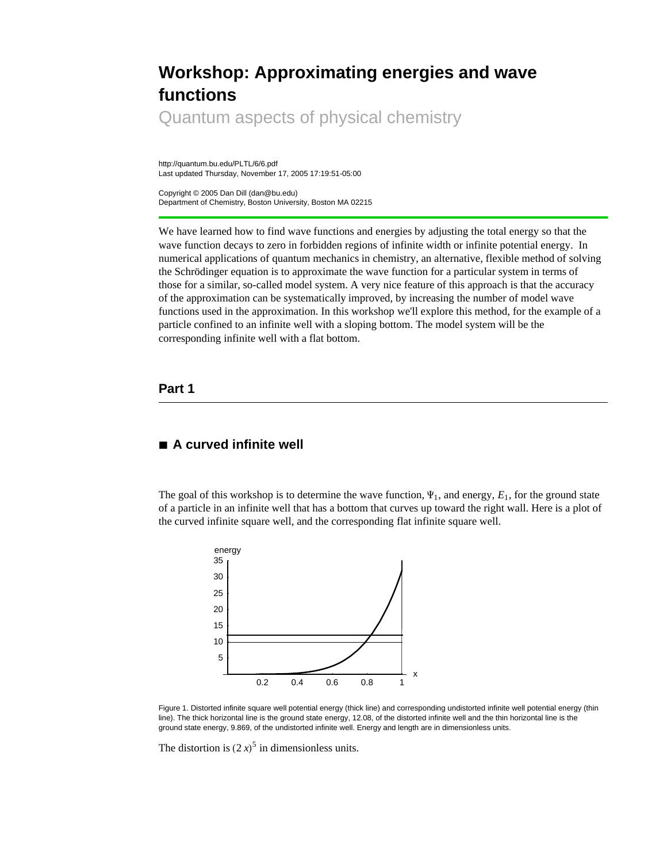# **Workshop: Approximating energies and wave functions**

Quantum aspects of physical chemistry

http://quantum.bu.edu/PLTL/6/6.pdf Last updated Thursday, November 17, 2005 17:19:51-05:00

Copyright © 2005 Dan Dill (dan@bu.edu) Department of Chemistry, Boston University, Boston MA 02215

We have learned how to find wave functions and energies by adjusting the total energy so that the wave function decays to zero in forbidden regions of infinite width or infinite potential energy. In numerical applications of quantum mechanics in chemistry, an alternative, flexible method of solving the Schrödinger equation is to approximate the wave function for a particular system in terms of those for a similar, so-called model system. A very nice feature of this approach is that the accuracy of the approximation can be systematically improved, by increasing the number of model wave functions used in the approximation. In this workshop we'll explore this method, for the example of a particle confined to an infinite well with a sloping bottom. The model system will be the corresponding infinite well with a flat bottom.

#### **Part 1**

## **à A curved infinite well**

The goal of this workshop is to determine the wave function,  $\Psi_1$ , and energy,  $E_1$ , for the ground state of a particle in an infinite well that has a bottom that curves up toward the right wall. Here is a plot of the curved infinite square well, and the corresponding flat infinite square well.



Figure 1. Distorted infinite square well potential energy (thick line) and corresponding undistorted infinite well potential energy (thin line). The thick horizontal line is the ground state energy, 12.08, of the distorted infinite well and the thin horizontal line is the ground state energy, 9.869, of the undistorted infinite well. Energy and length are in dimensionless units.

The distortion is  $(2x)^5$  in dimensionless units.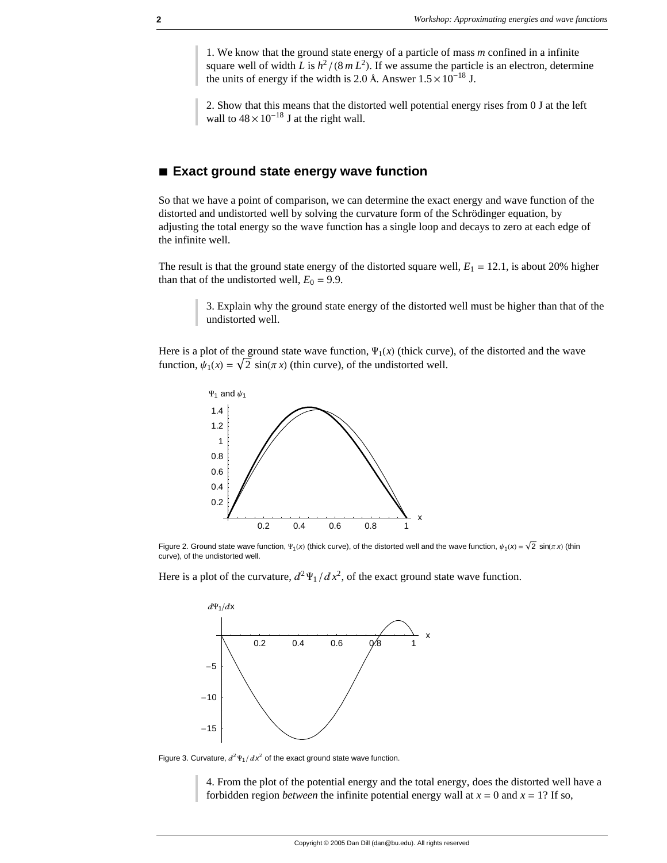1. We know that the ground state energy of a particle of mass *m* confined in a infinite square well of width *L* is  $h^2/(8m L^2)$ . If we assume the particle is an electron, determine the units of energy if the width is 2.0 Å. Answer  $1.5 \times 10^{-18}$  J.

2. Show that this means that the distorted well potential energy rises from 0 J at the left wall to  $48 \times 10^{-18}$  J at the right wall.

#### ■ **Exact ground state energy wave function**

So that we have a point of comparison, we can determine the exact energy and wave function of the distorted and undistorted well by solving the curvature form of the Schrödinger equation, by adjusting the total energy so the wave function has a single loop and decays to zero at each edge of the infinite well.

The result is that the ground state energy of the distorted square well,  $E_1 = 12.1$ , is about 20% higher than that of the undistorted well,  $E_0 = 9.9$ .

3. Explain why the ground state energy of the distorted well must be higher than that of the undistorted well.

Here is a plot of the ground state wave function,  $\Psi_1(x)$  (thick curve), of the distorted and the wave function,  $\psi_1(x) = \sqrt{2} \sin(\pi x)$  (thin curve), of the undistorted well.



Figure 2. Ground state wave function,  $\Psi_1(x)$  (thick curve), of the distorted well and the wave function,  $\psi_1(x) = \sqrt{2} \sin(\pi x)$  (thin curve), of the undistorted well.

Here is a plot of the curvature,  $d^2 \Psi_1 / dx^2$ , of the exact ground state wave function.



Figure 3. Curvature,  $d^2\Psi_1/dx^2$  of the exact ground state wave function.

4. From the plot of the potential energy and the total energy, does the distorted well have a forbidden region *between* the infinite potential energy wall at  $x = 0$  and  $x = 1$ ? If so,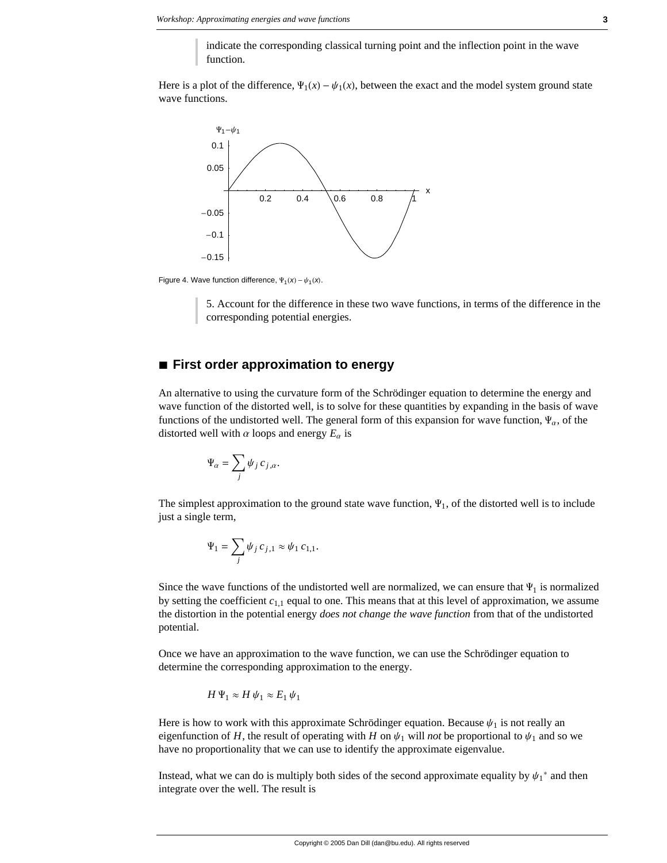indicate the corresponding classical turning point and the inflection point in the wave function.

Here is a plot of the difference,  $\Psi_1(x) - \psi_1(x)$ , between the exact and the model system ground state wave functions.



Figure 4. Wave function difference,  $\Psi_1(x) - \psi_1(x)$ .

5. Account for the difference in these two wave functions, in terms of the difference in the corresponding potential energies.

#### **à First order approximation to energy**

An alternative to using the curvature form of the Schrödinger equation to determine the energy and wave function of the distorted well, is to solve for these quantities by expanding in the basis of wave functions of the undistorted well. The general form of this expansion for wave function,  $\Psi_{\alpha}$ , of the distorted well with  $\alpha$  loops and energy  $E_{\alpha}$  is

$$
\Psi_\alpha = \sum_j \psi_j \, c_{j,\alpha}.
$$

The simplest approximation to the ground state wave function,  $\Psi_1$ , of the distorted well is to include just a single term,

$$
\Psi_1 = \sum_j \psi_j c_{j,1} \approx \psi_1 c_{1,1}.
$$

Since the wave functions of the undistorted well are normalized, we can ensure that  $\Psi_1$  is normalized by setting the coefficient  $c_{1,1}$  equal to one. This means that at this level of approximation, we assume the distortion in the potential energy *does not change the wave function* from that of the undistorted potential.

Once we have an approximation to the wave function, we can use the Schrödinger equation to determine the corresponding approximation to the energy.

$$
H\Psi_1 \approx H \psi_1 \approx E_1 \psi_1
$$

Here is how to work with this approximate Schrödinger equation. Because  $\psi_1$  is not really an eigenfunction of *H*, the result of operating with *H* on  $\psi_1$  will *not* be proportional to  $\psi_1$  and so we have no proportionality that we can use to identify the approximate eigenvalue.

Instead, what we can do is multiply both sides of the second approximate equality by  $\psi_1^*$  and then integrate over the well. The result is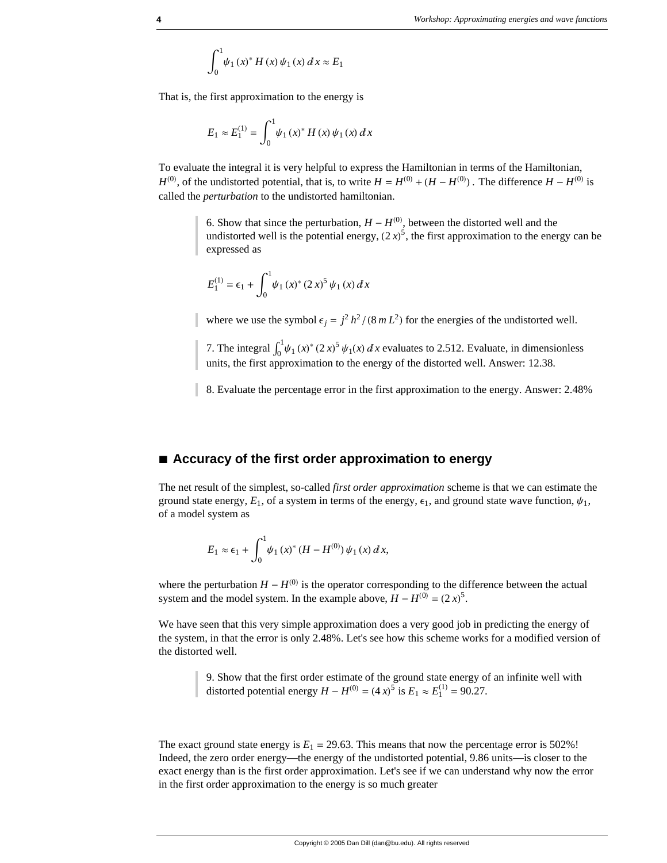$$
\int_0^1 \psi_1(x)^* H(x) \psi_1(x) dx \approx E_1
$$

That is, the first approximation to the energy is

$$
E_1 \approx E_1^{(1)} = \int_0^1 \psi_1(x)^* H(x) \psi_1(x) dx
$$

To evaluate the integral it is very helpful to express the Hamiltonian in terms of the Hamiltonian,  $H^{(0)}$ , of the undistorted potential, that is, to write  $H = H^{(0)} + (H - H^{(0)})$ . The difference  $H - H^{(0)}$  is called the *perturbation* to the undistorted hamiltonian.

> 6. Show that since the perturbation,  $H - H^{(0)}$ , between the distorted well and the undistorted well is the potential energy,  $(2x)^5$ , the first approximation to the energy can be expressed as

$$
E_1^{(1)} = \epsilon_1 + \int_0^1 \psi_1(x)^* (2x)^5 \psi_1(x) dx
$$

where we use the symbol  $\epsilon_j = j^2 h^2 / (8 m L^2)$  for the energies of the undistorted well.

7. The integral  $\int_0^1 \psi_1(x)^* (2x)^5 \psi_1(x) dx$  evaluates to 2.512. Evaluate, in dimensionless units, the first approximation to the energy of the distorted well. Answer: 12.38.

8. Evaluate the percentage error in the first approximation to the energy. Answer: 2.48%

#### ■ Accuracy of the first order approximation to energy

The net result of the simplest, so-called *first order approximation* scheme is that we can estimate the ground state energy,  $E_1$ , of a system in terms of the energy,  $\epsilon_1$ , and ground state wave function,  $\psi_1$ , of a model system as

$$
E_1 \approx \epsilon_1 + \int_0^1 \psi_1(x)^* (H - H^{(0)}) \psi_1(x) dx,
$$

where the perturbation  $H - H^{(0)}$  is the operator corresponding to the difference between the actual system and the model system. In the example above,  $H - H^{(0)} = (2x)^5$ .

We have seen that this very simple approximation does a very good job in predicting the energy of the system, in that the error is only 2.48%. Let's see how this scheme works for a modified version of the distorted well.

9. Show that the first order estimate of the ground state energy of an infinite well with distorted potential energy  $H - H^{(0)} = (4x)^5$  is  $E_1 \approx E_1^{(1)} = 90.27$ .

The exact ground state energy is  $E_1 = 29.63$ . This means that now the percentage error is 502%! Indeed, the zero order energy—the energy of the undistorted potential, 9.86 units—is closer to the exact energy than is the first order approximation. Let's see if we can understand why now the error in the first order approximation to the energy is so much greater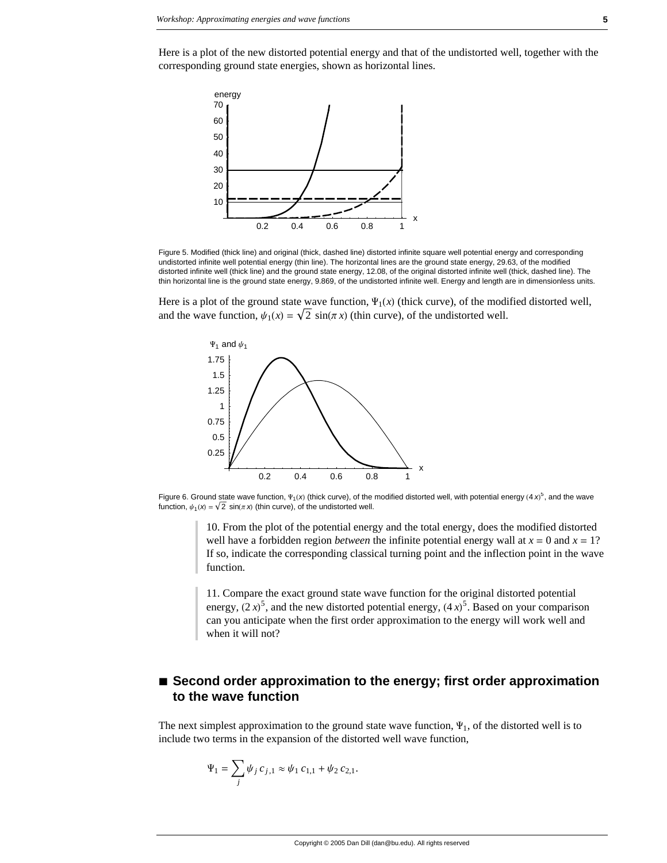Here is a plot of the new distorted potential energy and that of the undistorted well, together with the corresponding ground state energies, shown as horizontal lines.



Figure 5. Modified (thick line) and original (thick, dashed line) distorted infinite square well potential energy and corresponding undistorted infinite well potential energy (thin line). The horizontal lines are the ground state energy, 29.63, of the modified distorted infinite well (thick line) and the ground state energy, 12.08, of the original distorted infinite well (thick, dashed line). The thin horizontal line is the ground state energy, 9.869, of the undistorted infinite well. Energy and length are in dimensionless units.

Here is a plot of the ground state wave function,  $\Psi_1(x)$  (thick curve), of the modified distorted well, and the wave function,  $\psi_1(x) = \sqrt{2} \sin(\pi x)$  (thin curve), of the undistorted well.



Figure 6. Ground state wave function,  $\Psi_1(x)$  (thick curve), of the modified distorted well, with potential energy  $(4x)^5$ , and the wave function,  $\psi_1(x) = \sqrt{2} \sin(\pi x)$  (thin curve), of the undistorted well.

10. From the plot of the potential energy and the total energy, does the modified distorted well have a forbidden region *between* the infinite potential energy wall at  $x = 0$  and  $x = 1$ ? If so, indicate the corresponding classical turning point and the inflection point in the wave function.

11. Compare the exact ground state wave function for the original distorted potential energy,  $(2x)^5$ , and the new distorted potential energy,  $(4x)^5$ . Based on your comparison can you anticipate when the first order approximation to the energy will work well and when it will not?

## ■ Second order approximation to the energy; first order approximation **to the wave function**

The next simplest approximation to the ground state wave function,  $\Psi_1$ , of the distorted well is to include two terms in the expansion of the distorted well wave function,

$$
\Psi_1 = \sum_j \psi_j \, c_{j,1} \approx \psi_1 \, c_{1,1} + \psi_2 \, c_{2,1}.
$$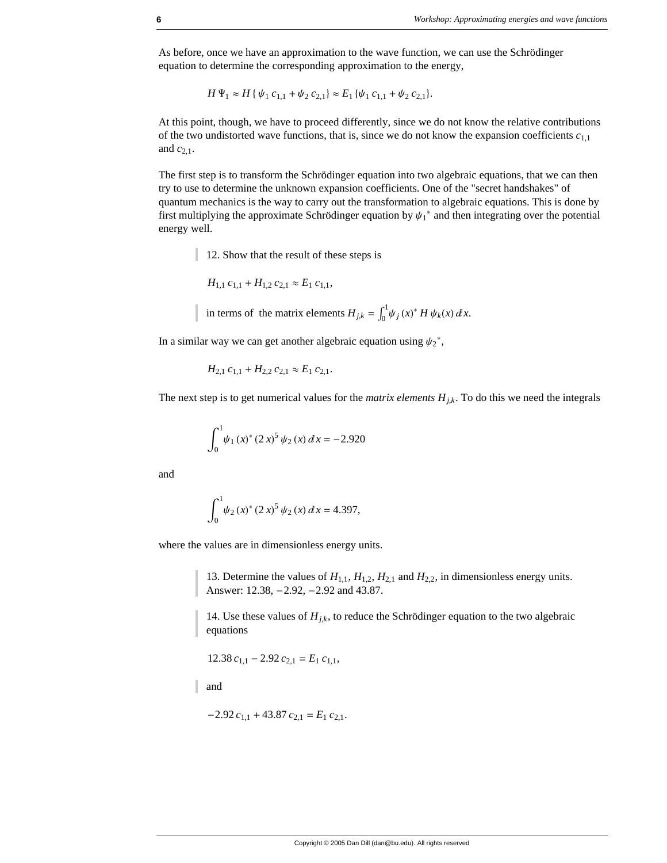As before, once we have an approximation to the wave function, we can use the Schrödinger equation to determine the corresponding approximation to the energy,

 $H \Psi_1 \approx H \{ \psi_1 c_{1,1} + \psi_2 c_{2,1} \} \approx E_1 \{ \psi_1 c_{1,1} + \psi_2 c_{2,1} \}.$ 

At this point, though, we have to proceed differently, since we do not know the relative contributions of the two undistorted wave functions, that is, since we do not know the expansion coefficients  $c_{1,1}$ and *c*2,1.

The first step is to transform the Schrödinger equation into two algebraic equations, that we can then try to use to determine the unknown expansion coefficients. One of the "secret handshakes" of quantum mechanics is the way to carry out the transformation to algebraic equations. This is done by first multiplying the approximate Schrödinger equation by  $\psi_1^*$  and then integrating over the potential energy well.

12. Show that the result of these steps is

$$
H_{1,1} c_{1,1} + H_{1,2} c_{2,1} \approx E_1 c_{1,1},
$$

in terms of the matrix elements  $H_{j,k} = \int_0^1 \psi_j(x)^* H \psi_k(x) dx$ .

In a similar way we can get another algebraic equation using  $\psi_2^*$ ,

$$
H_{2,1}c_{1,1} + H_{2,2}c_{2,1} \approx E_1c_{2,1}.
$$

The next step is to get numerical values for the *matrix elements*  $H_{jk}$ . To do this we need the integrals

$$
\int_0^1 \psi_1(x)^* (2x)^5 \psi_2(x) dx = -2.920
$$

and

$$
\int_0^1 \psi_2(x)^* (2x)^5 \psi_2(x) dx = 4.397,
$$

where the values are in dimensionless energy units.

13. Determine the values of  $H_{1,1}$ ,  $H_{1,2}$ ,  $H_{2,1}$  and  $H_{2,2}$ , in dimensionless energy units. Answer: 12.38, -2.92, -2.92 and 43.87.

14. Use these values of  $H_{j,k}$ , to reduce the Schrödinger equation to the two algebraic equations

 $12.38 c_{11} - 2.92 c_{21} = E_1 c_{11}$ 

and

$$
-2.92 c_{1,1} + 43.87 c_{2,1} = E_1 c_{2,1}.
$$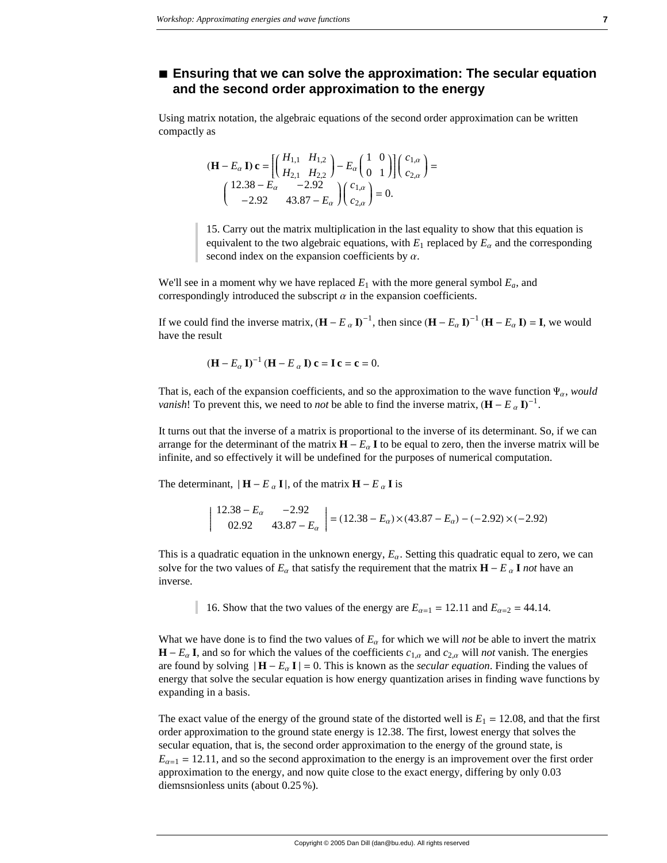## ■ Ensuring that we can solve the approximation: The secular equation and the second order approximation to the energy

Using matrix notation, the algebraic equations of the second order approximation can be written compactly as

$$
(\mathbf{H} - E_{\alpha} \mathbf{I}) \mathbf{c} = \left[ \begin{pmatrix} H_{1,1} & H_{1,2} \\ H_{2,1} & H_{2,2} \end{pmatrix} - E_{\alpha} \begin{pmatrix} 1 & 0 \\ 0 & 1 \end{pmatrix} \right] \begin{pmatrix} c_{1,\alpha} \\ c_{2,\alpha} \end{pmatrix} =
$$
  

$$
\begin{pmatrix} 12.38 - E_{\alpha} & -2.92 \\ -2.92 & 43.87 - E_{\alpha} \end{pmatrix} \begin{pmatrix} c_{1,\alpha} \\ c_{2,\alpha} \end{pmatrix} = 0.
$$

15. Carry out the matrix multiplication in the last equality to show that this equation is equivalent to the two algebraic equations, with  $E_1$  replaced by  $E_\alpha$  and the corresponding second index on the expansion coefficients by  $\alpha$ .

We'll see in a moment why we have replaced  $E_1$  with the more general symbol  $E_a$ , and correspondingly introduced the subscript  $\alpha$  in the expansion coefficients.

If we could find the inverse matrix,  $(\mathbf{H} - E_{\alpha} \mathbf{I})^{-1}$ , then since  $(\mathbf{H} - E_{\alpha} \mathbf{I})^{-1} (\mathbf{H} - E_{\alpha} \mathbf{I}) = \mathbf{I}$ , we would have the result

$$
(\mathbf{H} - E_{\alpha} \mathbf{I})^{-1} (\mathbf{H} - E_{\alpha} \mathbf{I}) \mathbf{c} = \mathbf{I} \mathbf{c} = \mathbf{c} = 0.
$$

That is, each of the expansion coefficients, and so the approximation to the wave function  $\Psi_{\alpha}$ , would *vanish!* To prevent this, we need to *not* be able to find the inverse matrix,  $(H - E_{\alpha} I)^{-1}$ .

It turns out that the inverse of a matrix is proportional to the inverse of its determinant. So, if we can arrange for the determinant of the matrix  $H - E_{\alpha} I$  to be equal to zero, then the inverse matrix will be infinite, and so effectively it will be undefined for the purposes of numerical computation.

The determinant,  $|\mathbf{H} - E_{\alpha} \mathbf{I}|$ , of the matrix  $\mathbf{H} - E_{\alpha} \mathbf{I}$  is

$$
\begin{vmatrix} 12.38 - E_{\alpha} & -2.92 \\ 02.92 & 43.87 - E_{\alpha} \end{vmatrix} = (12.38 - E_{\alpha}) \times (43.87 - E_{\alpha}) - (-2.92) \times (-2.92)
$$

This is a quadratic equation in the unknown energy,  $E_{\alpha}$ . Setting this quadratic equal to zero, we can solve for the two values of  $E_{\alpha}$  that satisfy the requirement that the matrix  $H - E_{\alpha} I$  not have an inverse.

16. Show that the two values of the energy are  $E_{\alpha=1} = 12.11$  and  $E_{\alpha=2} = 44.14$ .

What we have done is to find the two values of  $E_{\alpha}$  for which we will *not* be able to invert the matrix  $H - E_{\alpha} I$ , and so for which the values of the coefficients  $c_{1,\alpha}$  and  $c_{2,\alpha}$  will not vanish. The energies are found by solving  $|\mathbf{H} - E_{\alpha} \mathbf{I}| = 0$ . This is known as the *secular equation*. Finding the values of energy that solve the secular equation is how energy quantization arises in finding wave functions by expanding in a basis.

The exact value of the energy of the ground state of the distorted well is  $E_1 = 12.08$ , and that the first order approximation to the ground state energy is 12.38. The first, lowest energy that solves the secular equation, that is, the second order approximation to the energy of the ground state, is  $E_{\alpha=1} = 12.11$ , and so the second approximation to the energy is an improvement over the first order approximation to the energy, and now quite close to the exact energy, differing by only 0.03 diemsnsionless units (about  $0.25\%$ ).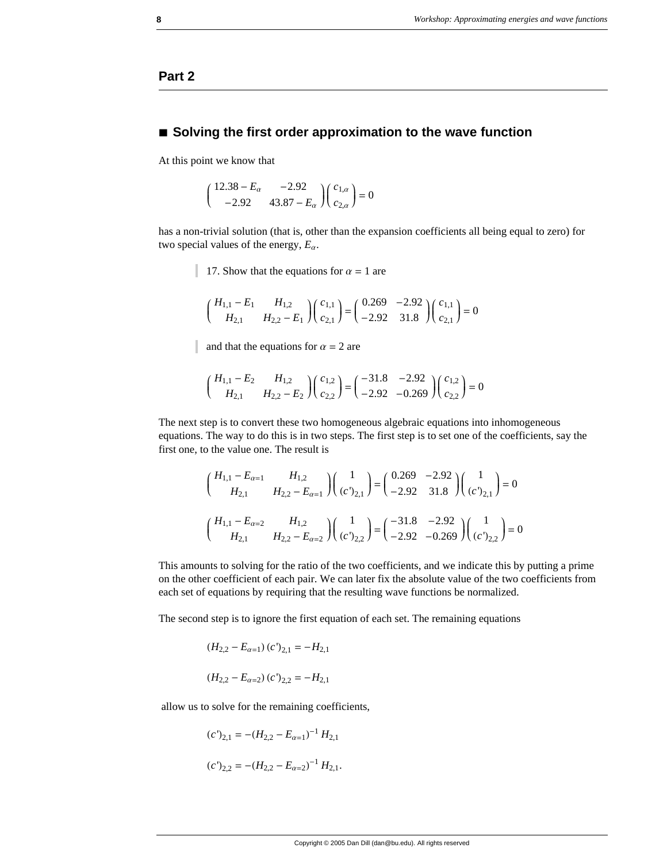## **Part 2**

#### **à Solving the first order approximation to the wave function**

At this point we know that

$$
\begin{pmatrix} 12.38 - E_{\alpha} & -2.92 \\ -2.92 & 43.87 - E_{\alpha} \end{pmatrix} \begin{pmatrix} c_{1,\alpha} \\ c_{2,\alpha} \end{pmatrix} = 0
$$

has a non-trivial solution (that is, other than the expansion coefficients all being equal to zero) for two special values of the energy,  $E_\alpha$ .

17. Show that the equations for  $\alpha = 1$  are

$$
\begin{pmatrix} H_{1,1} - E_1 & H_{1,2} \\ H_{2,1} & H_{2,2} - E_1 \end{pmatrix} \begin{pmatrix} c_{1,1} \\ c_{2,1} \end{pmatrix} = \begin{pmatrix} 0.269 & -2.92 \\ -2.92 & 31.8 \end{pmatrix} \begin{pmatrix} c_{1,1} \\ c_{2,1} \end{pmatrix} = 0
$$

and that the equations for  $\alpha = 2$  are

$$
\begin{pmatrix} H_{1,1} - E_2 & H_{1,2} \\ H_{2,1} & H_{2,2} - E_2 \end{pmatrix} \begin{pmatrix} c_{1,2} \\ c_{2,2} \end{pmatrix} = \begin{pmatrix} -31.8 & -2.92 \\ -2.92 & -0.269 \end{pmatrix} \begin{pmatrix} c_{1,2} \\ c_{2,2} \end{pmatrix} = 0
$$

The next step is to convert these two homogeneous algebraic equations into inhomogeneous equations. The way to do this is in two steps. The first step is to set one of the coefficients, say the first one, to the value one. The result is

$$
\begin{pmatrix} H_{1,1} - E_{\alpha=1} & H_{1,2} \\ H_{2,1} & H_{2,2} - E_{\alpha=1} \end{pmatrix} \begin{pmatrix} 1 \\ (c')_{2,1} \end{pmatrix} = \begin{pmatrix} 0.269 & -2.92 \\ -2.92 & 31.8 \end{pmatrix} \begin{pmatrix} 1 \\ (c')_{2,1} \end{pmatrix} = 0
$$
  

$$
\begin{pmatrix} H_{1,1} - E_{\alpha=2} & H_{1,2} \\ H_{2,1} & H_{2,2} - E_{\alpha=2} \end{pmatrix} \begin{pmatrix} 1 \\ (c')_{2,2} \end{pmatrix} = \begin{pmatrix} -31.8 & -2.92 \\ -2.92 & -0.269 \end{pmatrix} \begin{pmatrix} 1 \\ (c')_{2,2} \end{pmatrix} = 0
$$

This amounts to solving for the ratio of the two coefficients, and we indicate this by putting a prime on the other coefficient of each pair. We can later fix the absolute value of the two coefficients from each set of equations by requiring that the resulting wave functions be normalized.

The second step is to ignore the first equation of each set. The remaining equations

$$
(H_{2,2} - E_{\alpha=1}) (c')_{2,1} = -H_{2,1}
$$
  

$$
(H_{2,2} - E_{\alpha=2}) (c')_{2,2} = -H_{2,1}
$$

allow us to solve for the remaining coefficients,

$$
(c')_{2,1} = -(H_{2,2} - E_{\alpha=1})^{-1} H_{2,1}
$$

$$
(c')_{2,2} = -(H_{2,2} - E_{\alpha=2})^{-1} H_{2,1}.
$$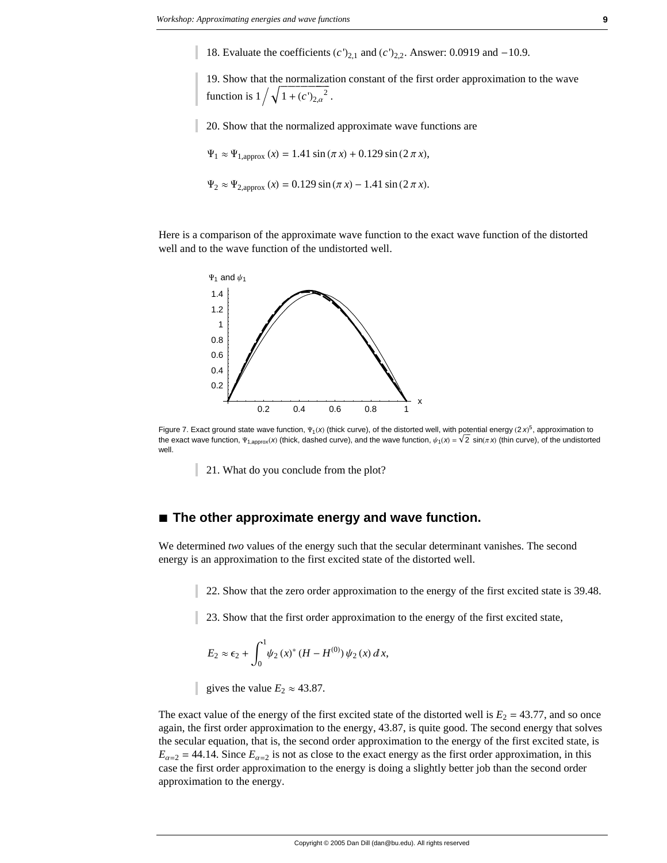18. Evaluate the coefficients  $(c')_{2,1}$  and  $(c')_{2,2}$ . Answer: 0.0919 and -10.9.

19. Show that the normalization constant of the first order approximation to the wave function is  $1/\sqrt{1+(c')_{2,\alpha}^2}$ .

20. Show that the normalized approximate wave functions are

 $\Psi_1 \approx \Psi_{1,\text{approx}} (x) = 1.41 \sin(\pi x) + 0.129 \sin(2 \pi x),$ 

 $\Psi_2 \approx \Psi_{2,\text{approx}} (x) = 0.129 \sin(\pi x) - 1.41 \sin(2 \pi x).$ 

Here is a comparison of the approximate wave function to the exact wave function of the distorted well and to the wave function of the undistorted well.



Figure 7. Exact ground state wave function,  $\Psi_1(x)$  (thick curve), of the distorted well, with potential energy (2 x)<sup>5</sup>, approximation to the exact wave function,  $\Psi_{1,\text{approx}}(x)$  (thick, dashed curve), and the wave function,  $\psi_1(x) = \sqrt{2} \sin(\pi x)$  (thin curve), of the undistorted well.

21. What do you conclude from the plot?

#### $\blacksquare$  The other approximate energy and wave function.

We determined two values of the energy such that the secular determinant vanishes. The second energy is an approximation to the first excited state of the distorted well.

22. Show that the zero order approximation to the energy of the first excited state is 39.48.

23. Show that the first order approximation to the energy of the first excited state,

$$
E_2 \approx \epsilon_2 + \int_0^1 \psi_2(x)^* (H - H^{(0)}) \psi_2(x) dx,
$$

gives the value  $E_2 \approx 43.87$ .

The exact value of the energy of the first excited state of the distorted well is  $E_2 = 43.77$ , and so once again, the first order approximation to the energy, 43.87, is quite good. The second energy that solves the secular equation, that is, the second order approximation to the energy of the first excited state, is  $E_{\alpha=2}$  = 44.14. Since  $E_{\alpha=2}$  is not as close to the exact energy as the first order approximation, in this case the first order approximation to the energy is doing a slightly better job than the second order approximation to the energy.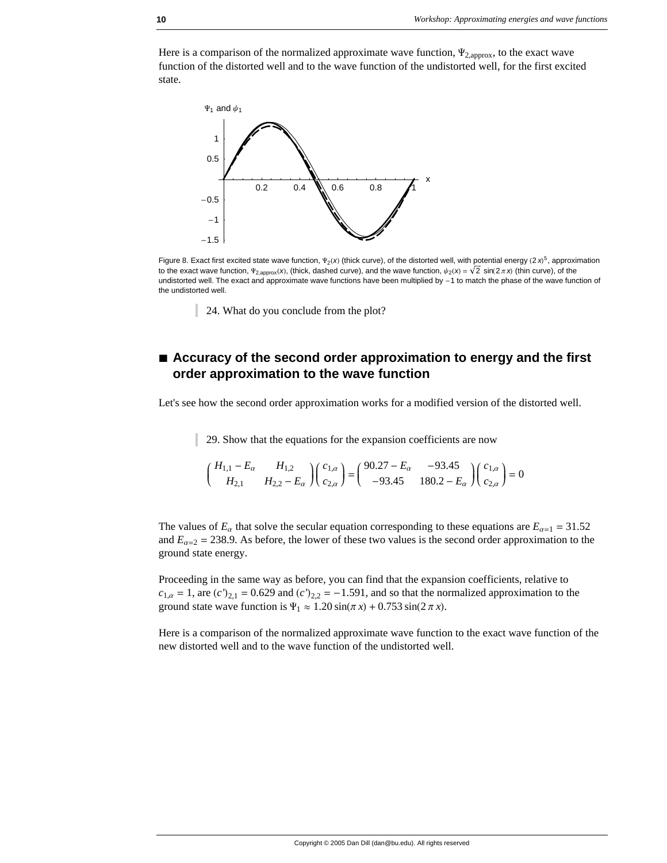Here is a comparison of the normalized approximate wave function,  $\Psi_{2,\text{approx}}$ , to the exact wave function of the distorted well and to the wave function of the undistorted well, for the first excited state.



Figure 8. Exact first excited state wave function,  $\Psi_2(x)$  (thick curve), of the distorted well, with potential energy (2 x)<sup>5</sup>, approximation to the exact wave function,  $\Psi_{2,\text{approx}}(X)$ , (thick, dashed curve), and the wave function,  $\psi_2(X) = \sqrt{2} \sin(2\pi X)$  (thin curve), of the undistorted well. The exact and approximate wave functions have been multiplied by -1 to match the phase of the wave function of the undistorted well.

24. What do you conclude from the plot?

## ■ Accuracy of the second order approximation to energy and the first **order approximation to the wave function**

Let's see how the second order approximation works for a modified version of the distorted well.

29. Show that the equations for the expansion coefficients are now

$$
\begin{pmatrix} H_{1,1} - E_{\alpha} & H_{1,2} \\ H_{2,1} & H_{2,2} - E_{\alpha} \end{pmatrix} \begin{pmatrix} c_{1,\alpha} \\ c_{2,\alpha} \end{pmatrix} = \begin{pmatrix} 90.27 - E_{\alpha} & -93.45 \\ -93.45 & 180.2 - E_{\alpha} \end{pmatrix} \begin{pmatrix} c_{1,\alpha} \\ c_{2,\alpha} \end{pmatrix} = 0
$$

The values of  $E_\alpha$  that solve the secular equation corresponding to these equations are  $E_{\alpha=1} = 31.52$ and  $E_{\alpha=2} = 238.9$ . As before, the lower of these two values is the second order approximation to the ground state energy.

Proceeding in the same way as before, you can find that the expansion coefficients, relative to  $c_{1,\alpha} = 1$ , are  $(c')_{2,1} = 0.629$  and  $(c')_{2,2} = -1.591$ , and so that the normalized approximation to the ground state wave function is  $\Psi_1 \approx 1.20 \sin(\pi x) + 0.753 \sin(2 \pi x)$ .

Here is a comparison of the normalized approximate wave function to the exact wave function of the new distorted well and to the wave function of the undistorted well.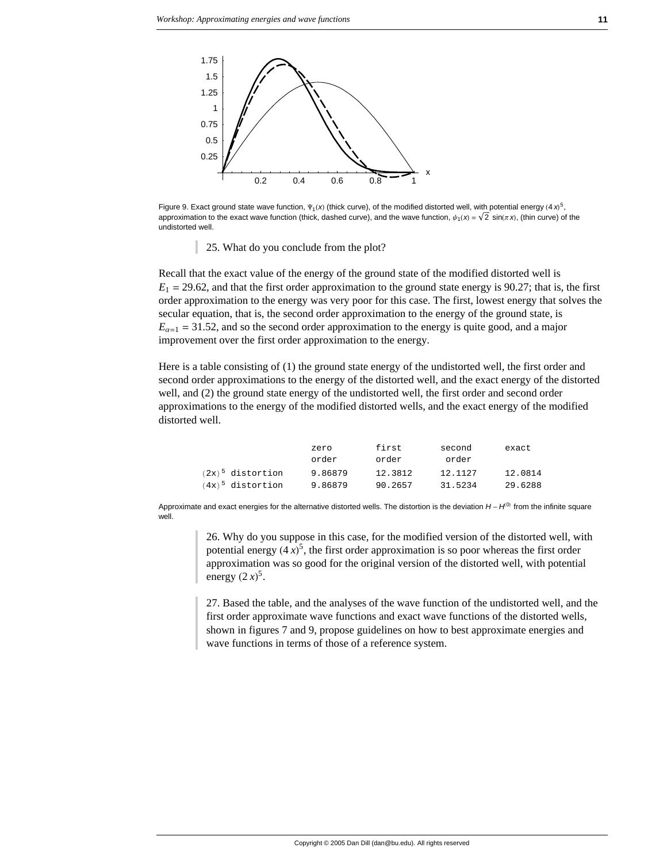

Figure 9. Exact ground state wave function,  $\Psi_1(x)$  (thick curve), of the modified distorted well, with potential energy  $(4x)^5$ , approximation to the exact wave function (thick, dashed curve), and the wave function,  $\psi_1(x) = \sqrt{2} \sin(\pi x)$ , (thin curve) of the undistorted well.

25. What do you conclude from the plot?

Recall that the exact value of the energy of the ground state of the modified distorted well is  $E_1 = 29.62$ , and that the first order approximation to the ground state energy is 90.27; that is, the first order approximation to the energy was very poor for this case. The first, lowest energy that solves the secular equation, that is, the second order approximation to the energy of the ground state, is  $E_{\alpha=1}$  = 31.52, and so the second order approximation to the energy is quite good, and a major improvement over the first order approximation to the energy.

Here is a table consisting of (1) the ground state energy of the undistorted well, the first order and second order approximations to the energy of the distorted well, and the exact energy of the distorted well, and (2) the ground state energy of the undistorted well, the first order and second order approximations to the energy of the modified distorted wells, and the exact energy of the modified distorted well.

|                     | zero    | first   | second  | exact   |
|---------------------|---------|---------|---------|---------|
|                     | order   | order   | order   |         |
| $(2x)^5$ distortion | 9.86879 | 12.3812 | 12.1127 | 12.0814 |
| $(4x)^5$ distortion | 9.86879 | 90.2657 | 31.5234 | 29.6288 |

Approximate and exact energies for the alternative distorted wells. The distortion is the deviation  $H - H^{(0)}$  from the infinite square well.

> 26. Why do you suppose in this case, for the modified version of the distorted well, with potential energy  $(4x)^5$ , the first order approximation is so poor whereas the first order approximation was so good for the original version of the distorted well, with potential energy  $(2x)^5$ .

27. Based the table, and the analyses of the wave function of the undistorted well, and the first order approximate wave functions and exact wave functions of the distorted wells, shown in figures 7 and 9, propose guidelines on how to best approximate energies and wave functions in terms of those of a reference system.